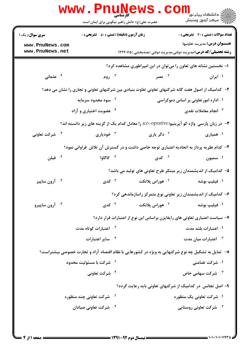|                                    | www.PnuNews<br>حضرت علی(ع): دانش راهبر نیکویی برای ایمان است     |                                                                                                    | ڪ دانشڪاه پيام نور<br>ا∛ مرڪز آزمون وسنڊش    |  |  |  |
|------------------------------------|------------------------------------------------------------------|----------------------------------------------------------------------------------------------------|----------------------------------------------|--|--|--|
| <b>سری سوال :</b> یک ۱             | <b>زمان آزمون (دقیقه) : تستی : 50 ٪ تشریحی : 0</b>               |                                                                                                    | <b>تعداد سوالات : تستي : 30 ٪ تشريحي : 0</b> |  |  |  |
| www.PnuNews.com<br>www.PnuNews.net |                                                                  | <b>رشته تحصیلی/کد درس:</b> مدیریت دولتی،مدیریت دولتی (چندبخشی )۱۲۲۲۰۶۵                             | <b>عنـــوان درس:</b> مديريت تعاونيها         |  |  |  |
|                                    | ۱– نخستین نشانه های تعاون را میتوان در این امپراطوری مشاهده کرد؟ |                                                                                                    |                                              |  |  |  |
| ۰۴ عثمانی                          | ۰۳ روم $\cdot$                                                   | ۰۲ مصر                                                                                             | ۰۱ ایران                                     |  |  |  |
|                                    |                                                                  | ۲- کدامیک از اصول هفت گانه شرکتهای تعاونی تفاوت بنیادی بین شرکتهای تعاونی و تجاری را نشان می دهد؟  |                                              |  |  |  |
|                                    | ۰ <sup>۲</sup> سود محدود سرمایه                                  | ۰۱ اداره امور تعاونی بر اساس دموکراسی                                                              |                                              |  |  |  |
|                                    | ۰۴ عضویت اختیاری و آزاد                                          |                                                                                                    | انجام معاملات نقدی $\cdot$ "                 |  |  |  |
|                                    |                                                                  | ۳- در زبان پارسی واژه کو آپریتیو(co-oprative) را معادل کدام یک از گزینه های زیر دانسته اند؟        |                                              |  |  |  |
| ۰ <sup>۴</sup> شرکت تعاونی         | خوديارى $\cdot$                                                  | <sup>۰۲</sup> دگر یاری                                                                             | ۰۱ همیاری                                    |  |  |  |
|                                    |                                                                  | ۴– کدام نظریه پرداز به اتحادیه اعتباری توجه خاصی داشت و در گسترش آن تلاش ًفراوانی نمود؟            |                                              |  |  |  |
| ۰۴ فیلن                            | ۰۳ کاگاوا                                                        | ۰۲ کدی $\mathcal{C}$                                                                               | ۰۱ سمیون                                     |  |  |  |
|                                    |                                                                  | ۵– کدامیک از اندیشمندان زیر مبتکر طرح تعاونی های تولید می باشد؟                                    |                                              |  |  |  |
| ۰۴ آرون ساپير                      | کدی $\cdot$ ۳                                                    | ۰ <sup>۲</sup> هوراس پلانکت                                                                        | ۰۱ فیلیپ بوشه                                |  |  |  |
|                                    |                                                                  | ۶– کدامیک از اندیشمندان زیر تعاونی نوع متمرکز راسازماندهی کرد؟                                     |                                              |  |  |  |
| ۰۴ آرون ساپيرو                     | ر کدی $\cdot$                                                    | ۰ <sup>۲</sup> هوراس پلانکت                                                                        | ۰۱ فیلیپ بوشه                                |  |  |  |
|                                    |                                                                  | ۷– سیاست اعتباری تعاونی های رایفایزن براساس این نوع از اعتبارات قرار دارد؟                         |                                              |  |  |  |
|                                    | ۰ <sup>۲</sup> اعتبارات کوتاه مدت                                |                                                                                                    | ۰۱ اعتبارات بلند مدت                         |  |  |  |
|                                    | ۰۴ سایر اعتبارات                                                 | اعتبارات میان مدت $\cdot$ ۳                                                                        |                                              |  |  |  |
|                                    |                                                                  | ۸−۔ تمایل به تشکیل چه نوع شرکتهایی به ویژه در کشورهایی با نظام اقتصاد آزاد و تجارت خصوصی بیشتراست؟ |                                              |  |  |  |
|                                    | <b>10 شرکت با مسئولیت محدود</b>                                  | ۰۱ شرکت تضامن <i>ی</i>                                                                             |                                              |  |  |  |
|                                    | ۰۴ شرکت تعاونی                                                   |                                                                                                    | ۰ <sup>۳</sup> شرکت سهامی خاص                |  |  |  |
|                                    |                                                                  | ۹- اصل تجانس در کدامیک از شرکتهای تعاونی باید رعایت گردد؟                                          |                                              |  |  |  |
|                                    | <b>گ شرکت تعاونی چند منظوره</b>                                  |                                                                                                    | ۰۱ شرکت تعاونی یک منظوره                     |  |  |  |
|                                    | ۰۴ شرکت تعاونی صیادان                                            |                                                                                                    | <b>۰۳ شرکت تعاونی روستایی</b>                |  |  |  |
|                                    |                                                                  |                                                                                                    |                                              |  |  |  |
|                                    |                                                                  |                                                                                                    |                                              |  |  |  |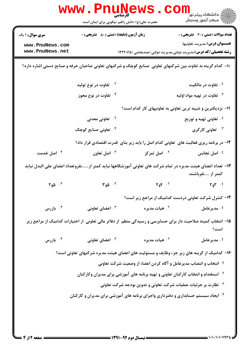| <b>www.Pnul</b><br>ews<br>ر دانشکاه پيام نور <mark>− ا</mark><br>ا <mark>ر</mark> = مرکز آزمون وسنجش<br><b>کارشناسی</b> |                                                                                                             |                                                                             |                                                                        |  |  |
|-------------------------------------------------------------------------------------------------------------------------|-------------------------------------------------------------------------------------------------------------|-----------------------------------------------------------------------------|------------------------------------------------------------------------|--|--|
|                                                                                                                         | حضرت علی(ع): دانش راهبر نیکویی برای ایمان است                                                               |                                                                             |                                                                        |  |  |
| <b>سری سوال : ۱ یک</b>                                                                                                  | <b>زمان آزمون (دقیقه) : تستی : 50 ٪ تشریحی : 0</b>                                                          |                                                                             | <b>تعداد سوالات : تستی : 30 ٪ تشریحی : 0</b>                           |  |  |
| www.PnuNews.com                                                                                                         |                                                                                                             |                                                                             | <b>عنـــوان درس:</b> مديريت تعاونيها                                   |  |  |
| www.PnuNews.net                                                                                                         |                                                                                                             |                                                                             | <b>رشته تحصیلی/کد درس:</b> مدیریت دولتی،مدیریت دولتی (چندبخشی )۱۲۲۲۰۶۵ |  |  |
| +ا– کدام گزینه به تفاوت بین شرکتهای تعاونی ًصنایع کوچک و شرکتهای تعاونی صاحبان حرفه و صنایع دستی اشاره دارد؟            |                                                                                                             |                                                                             |                                                                        |  |  |
|                                                                                                                         | ۰ <sup>۲</sup> تفاوت در نوع تولید                                                                           |                                                                             | ۰۱ تفاوت در مالکیت                                                     |  |  |
|                                                                                                                         | ۰۴ تفاوت در نوع مجوز                                                                                        |                                                                             | ۰ <sup>۳</sup> تفاوت در تهیه مواد اولیه                                |  |  |
| 11– نزدیکترین و شبیه ترین تعاونی به تعاونیهای کار کدام است؟                                                             |                                                                                                             |                                                                             |                                                                        |  |  |
|                                                                                                                         | ۰ <sup>۲</sup> تعاونی معدنی                                                                                 |                                                                             | ۰۱ تعاونی تهیه و توزیع                                                 |  |  |
|                                                                                                                         | ۰۴ تعاونی صنایع کوچک                                                                                        |                                                                             | نعاونی کارگری $\cdot$ ۳                                                |  |  |
|                                                                                                                         | ۱۲- در برنامه ریزی فعالیت های تعاونی کدام اصل را باید زیر بنای قدرت اقتصادی قرار داد؟                       |                                                                             |                                                                        |  |  |
| ۰ <sup>۴</sup> اصل خدمت                                                                                                 | اصل تعاون $\cdot$ "                                                                                         | <sup>۰۲</sup> اصل تمرکز                                                     | ۰۱ اصل تجانس                                                           |  |  |
|                                                                                                                         | ۱۳– تعداد اعضای هیئت مدیره در تمام شرکت های تعاونی آموزشگاهها نباید کمتر ازنفروتعداد اعضای علی البدل نباید  |                                                                             | كمتر از نفرباشند.                                                      |  |  |
| ۰۴ ۵و۲                                                                                                                  | ۳ هو $\mathbf r$                                                                                            | $Y - \mathcal{F}$ 1                                                         | ۰۱ ۳و۲                                                                 |  |  |
|                                                                                                                         |                                                                                                             |                                                                             | ۱۴- کنترل شرکت تعاونی دردست کدامیک از مراجع زیر است؟                   |  |  |
| ا بازرس $\cdot$ ۴                                                                                                       | اعضای تعاونی $\cdot$                                                                                        | ۰ <sup>۲</sup> هیات مدیره                                                   | ۰۱ مدیرعامل                                                            |  |  |
|                                                                                                                         | ۱۵– انتخاب کمیته صلاحیت دار برای حسابرسی و رسیدگی منظم از دفاتر مالی تعاونی از اختیارات کدامیک از مراجع زیر |                                                                             | است؟                                                                   |  |  |
| ا بازرس $\cdot$ ۴                                                                                                       | ۰ <sup>۳</sup> اعضای تعاونی                                                                                 | ۰ <sup>۲</sup> هیات مدیره                                                   | ۰۱ مدیرعامل                                                            |  |  |
|                                                                                                                         | ۱۶– کدامیک از گزینه های زیر جزء وظایف و مسئولیت های اعضای هیئت مدیره شرکتهای تعاونی است؟                    |                                                                             |                                                                        |  |  |
|                                                                                                                         |                                                                                                             | ۰۱ انتخاب و انتصاب مدیرعامل و آگاه کردن اعضاء از وضعیت شرکت تعاونی          |                                                                        |  |  |
|                                                                                                                         | <sup>۲</sup> ۰ استخدام و انتخاب کارکنان تعاونی و تهیه برنامه های آموزشی برای مدیران وکارکنان                |                                                                             |                                                                        |  |  |
|                                                                                                                         |                                                                                                             | ۰ <sup>۳</sup> نظارت بر جزئیات عملیات شرکت تعاونی و تدوین بودجه شرکت تعاونی |                                                                        |  |  |
| ۰۴ ایجاد سیستم حسابداری و دفترداری واجرای برنامه های آموزشی برای مدیران و کارکنان                                       |                                                                                                             |                                                                             |                                                                        |  |  |
|                                                                                                                         |                                                                                                             |                                                                             |                                                                        |  |  |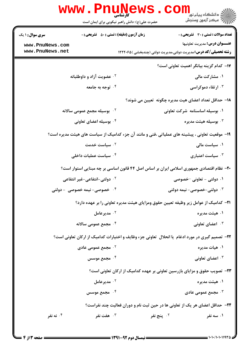|                                    | <b>www.PnuNews</b><br>کارشناسی<br>حضرت علی(ع): دانش راهبر نیکویی برای ایمان است | ی<br>دانشکاه پیام نور<br>ان مرکز آزمون وسنجش                                                                   |
|------------------------------------|---------------------------------------------------------------------------------|----------------------------------------------------------------------------------------------------------------|
| <b>سری سوال : ۱ یک</b>             | <b>زمان آزمون (دقیقه) : تستی : 50 ٪ تشریحی : 0</b>                              | تعداد سوالات : تستى : 30 ٪ تشريحي : 0                                                                          |
| www.PnuNews.com<br>www.PnuNews.net |                                                                                 | <b>عنـــوان درس:</b> مديريت تعاونيها<br><b>رشته تحصیلی/کد درس:</b> مدیریت دولتی،مدیریت دولتی (چندبخشی )۱۲۲۲۰۶۵ |
|                                    |                                                                                 | ۱۷– کدام گزینه بیانگر اهمیت تعاونی است؟                                                                        |
|                                    | ۰۲ عضویت آزاد و داوطلبانه                                                       | ۰۱ مشارکت مالی                                                                                                 |
|                                    | ۰۴ توجه به جامعه                                                                | ۰۳ ارتقاء دموکراسی                                                                                             |
|                                    |                                                                                 | ۱۸− حداقل تعداد اعضای هیت مدیره چگونه ِ تعیین می شوند؟                                                         |
|                                    | ۰ <sup>۲</sup> بوسیله مجمع عمومی سالانه                                         | ۰۱ بوسیله اساسنامه شرکت تعاونی                                                                                 |
|                                    | ۰ <sup>۴</sup> بوسیله اعضای تعاونی                                              | بوسیله هیئت مدیره $\cdot^{\mathsf{v}}$                                                                         |
|                                    |                                                                                 | ۱۹- موقعیت تعاونی ، پیشینه های عملیاتی ،فنی و مانند آن جزء کدامیک از سیاست های هیئت مدیره است؟                 |
|                                    | ۰ <sup>۲</sup> سیاست خدمت                                                       | ۰۱ سیاست مالی                                                                                                  |
|                                    | ۰۴ سیاست عملیات داخلی                                                           | ۰۳ سیاست اعتباری                                                                                               |
|                                    |                                                                                 | ۲۰- نظام اقتصادی جمهوری اسلامی ایران بر اساس اصل ۴۴ قانون اساسی بر چه مبنایی استوار است؟                       |
|                                    | ۰ <sup>۲</sup> دولتی-انتفاعی-غیر انتفاعی                                        | ۰۱ دولتی - تعاونی -خصوصی                                                                                       |
|                                    | ۰۴ خصوصی- نیمه خصوصی  - دولتی                                                   | دولتی-خصوصی- نیمه دولتی * ·                                                                                    |
|                                    |                                                                                 | ۲۱− کدامیک از عوامل زیر وظیفه تعیین حقوق ومزایای هیئت مدیره تعاونی را بر عهده دارد؟                            |
|                                    | ۰ <sup>۲</sup> مديرعامل                                                         | ۰۱ هیئت مدیره                                                                                                  |
|                                    | ۰ <sup>۲</sup> مجمع عمومی سالانه                                                | اعضای تعاونی $\cdot$                                                                                           |
|                                    |                                                                                 | ۲۲- تصمیم گیری در مورد ادغام ً یا انحلال ً تعاونی جزء وظایف و اختیارات کدامیک از ارکان تعاونی است؟             |
|                                    | ۰ <sup>۲</sup> مجمع عمومی عادی                                                  | ۰۱ هیات مدیره                                                                                                  |
|                                    | ۰۴ مجمع موسس                                                                    | اعضای تعاونی $\cdot$                                                                                           |
|                                    |                                                                                 | ۲۳– تصویب حقوق و مزایای بازرسین تعاونی بر عهده کدامیک از ارکان تعاونی است؟                                     |
|                                    | ۰ <sup>۲</sup> مدیرعامل                                                         | ۰۱ هیئت مدیره                                                                                                  |
|                                    | ۰۴ مجمع موسس                                                                    | مجمع عمومی عادی $\cdot^{\mathsf{r}}$                                                                           |
|                                    |                                                                                 | <b>3۴</b> - حداقل اعضای هر یک از تعاونی ها در حین ثبت نام و دوران فعالیت چند نفراست؟                           |
| ۰۴ نه نفر                          | هفت نفر $\cdot$ "                                                               | ۰۲ پنج نفر<br>۰۱ سه نفر                                                                                        |
|                                    |                                                                                 |                                                                                                                |